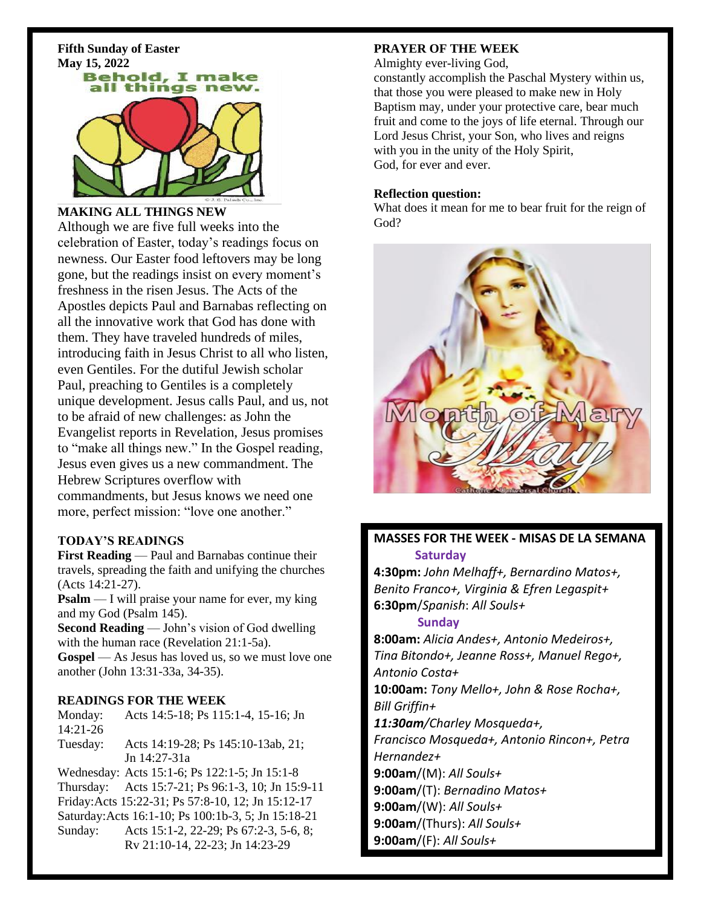**Fifth Sunday of Easter**



#### **MAKING ALL THINGS NEW**

Although we are five full weeks into the celebration of Easter, today's readings focus on newness. Our Easter food leftovers may be long gone, but the readings insist on every moment's freshness in the risen Jesus. The Acts of the Apostles depicts Paul and Barnabas reflecting on all the innovative work that God has done with them. They have traveled hundreds of miles, introducing faith in Jesus Christ to all who listen, even Gentiles. For the dutiful Jewish scholar Paul, preaching to Gentiles is a completely unique development. Jesus calls Paul, and us, not to be afraid of new challenges: as John the Evangelist reports in Revelation, Jesus promises to "make all things new." In the Gospel reading, Jesus even gives us a new commandment. The Hebrew Scriptures overflow with commandments, but Jesus knows we need one more, perfect mission: "love one another."

#### **TODAY'S READINGS**

**First Reading** — Paul and Barnabas continue their travels, spreading the faith and unifying the churches (Acts 14:21-27).

**Psalm** — I will praise your name for ever, my king and my God (Psalm 145).

**Second Reading** — John's vision of God dwelling with the human race (Revelation 21:1-5a).

**Gospel** — As Jesus has loved us, so we must love one another (John 13:31-33a, 34-35).

#### **READINGS FOR THE WEEK**

Monday: Acts 14:5-18; Ps 115:1-4, 15-16; Jn 14:21-26

Tuesday: Acts 14:19-28; Ps 145:10-13ab, 21; Jn 14:27-31a

Wednesday: Acts 15:1-6; Ps 122:1-5; Jn 15:1-8 Thursday: Acts 15:7-21; Ps 96:1-3, 10; Jn 15:9-11 Friday:Acts 15:22-31; Ps 57:8-10, 12; Jn 15:12-17 Saturday:Acts 16:1-10; Ps 100:1b-3, 5; Jn 15:18-21 Sunday: Acts 15:1-2, 22-29; Ps 67:2-3, 5-6, 8; Rv 21:10-14, 22-23; Jn 14:23-29

#### **PRAYER OF THE WEEK**

Almighty ever-living God,

constantly accomplish the Paschal Mystery within us, that those you were pleased to make new in Holy Baptism may, under your protective care, bear much fruit and come to the joys of life eternal. Through our Lord Jesus Christ, your Son, who lives and reigns with you in the unity of the Holy Spirit, God, for ever and ever.

#### **Reflection question:**

What does it mean for me to bear fruit for the reign of God?



## **MASSES FOR THE WEEK - MISAS DE LA SEMANA Saturday**

**4:30pm:** *John Melhaff+, Bernardino Matos+, Benito Franco+, Virginia & Efren Legaspit+* **6:30pm**/*Spanish*: *All Souls+*

#### **Sunday**

**8:00am:** *Alicia Andes+, Antonio Medeiros+, Tina Bitondo+, Jeanne Ross+, Manuel Rego+, Antonio Costa+* **10:00am:** *Tony Mello+, John & Rose Rocha+, Bill Griffin+ 11:30am/Charley Mosqueda+, Francisco Mosqueda+, Antonio Rincon+, Petra Hernandez+* **9:00am**/(M): *All Souls+* **9:00am**/(T): *Bernadino Matos+* **9:00am**/(W): *All Souls+* **9:00am**/(Thurs): *All Souls+* **9:00am**/(F): *All Souls+*